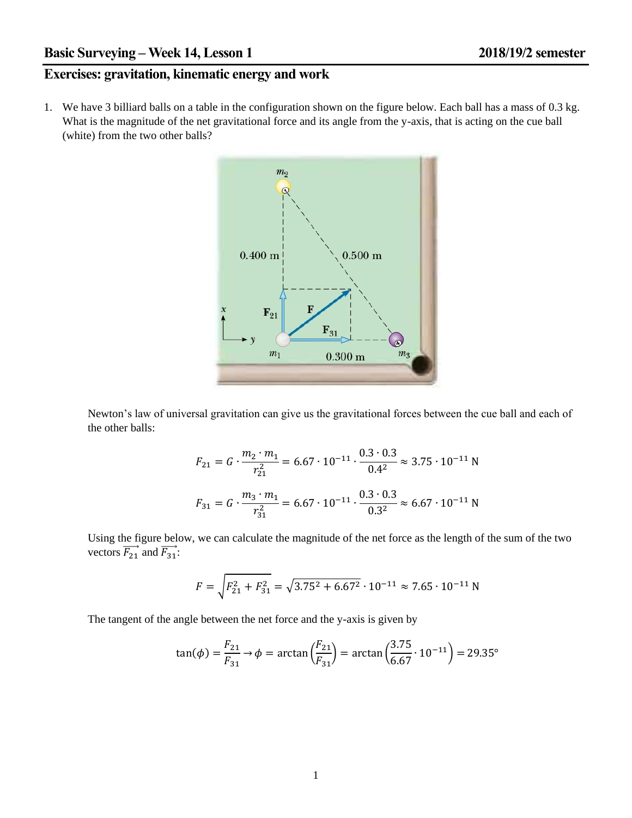## **Exercises: gravitation, kinematic energy and work**

1. We have 3 billiard balls on a table in the configuration shown on the figure below. Each ball has a mass of 0.3 kg. What is the magnitude of the net gravitational force and its angle from the y-axis, that is acting on the cue ball (white) from the two other balls?



Newton's law of universal gravitation can give us the gravitational forces between the cue ball and each of the other balls:

$$
F_{21} = G \cdot \frac{m_2 \cdot m_1}{r_{21}^2} = 6.67 \cdot 10^{-11} \cdot \frac{0.3 \cdot 0.3}{0.4^2} \approx 3.75 \cdot 10^{-11} \text{ N}
$$
  

$$
F_{31} = G \cdot \frac{m_3 \cdot m_1}{r_{31}^2} = 6.67 \cdot 10^{-11} \cdot \frac{0.3 \cdot 0.3}{0.3^2} \approx 6.67 \cdot 10^{-11} \text{ N}
$$

Using the figure below, we can calculate the magnitude of the net force as the length of the sum of the two vectors  $\overrightarrow{F_{21}}$  and  $\overrightarrow{F_{31}}$ :

$$
F = \sqrt{F_{21}^2 + F_{31}^2} = \sqrt{3.75^2 + 6.67^2} \cdot 10^{-11} \approx 7.65 \cdot 10^{-11} \text{ N}
$$

The tangent of the angle between the net force and the y-axis is given by

$$
\tan(\phi) = \frac{F_{21}}{F_{31}} \to \phi = \arctan\left(\frac{F_{21}}{F_{31}}\right) = \arctan\left(\frac{3.75}{6.67} \cdot 10^{-11}\right) = 29.35^{\circ}
$$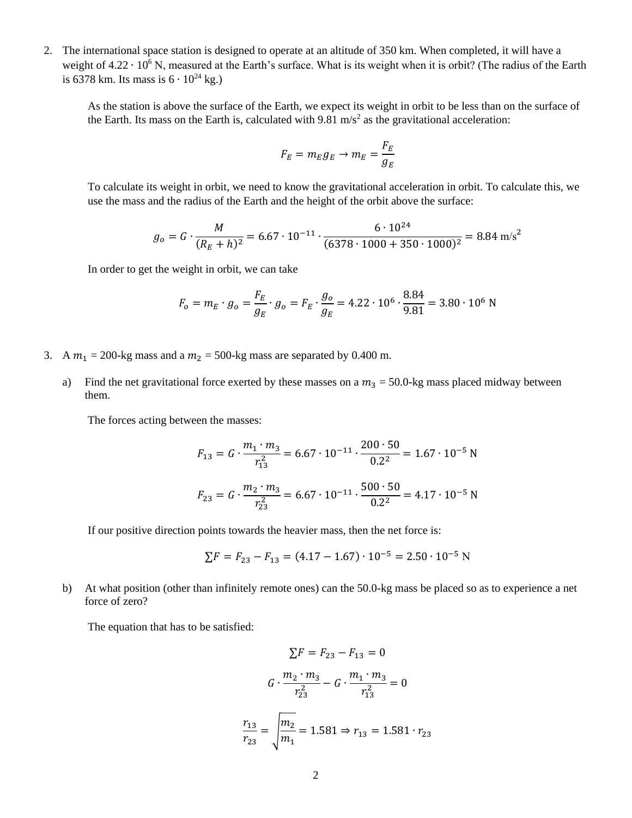2. The international space station is designed to operate at an altitude of 350 km. When completed, it will have a weight of  $4.22 \cdot 10^6$  N, measured at the Earth's surface. What is its weight when it is orbit? (The radius of the Earth is 6378 km. Its mass is  $6 \cdot 10^{24}$  kg.)

As the station is above the surface of the Earth, we expect its weight in orbit to be less than on the surface of the Earth. Its mass on the Earth is, calculated with 9.81 m/s<sup>2</sup> as the gravitational acceleration:

$$
F_E = m_E g_E \rightarrow m_E = \frac{F_E}{g_E}
$$

To calculate its weight in orbit, we need to know the gravitational acceleration in orbit. To calculate this, we use the mass and the radius of the Earth and the height of the orbit above the surface:

$$
g_o = G \cdot \frac{M}{(R_E + h)^2} = 6.67 \cdot 10^{-11} \cdot \frac{6 \cdot 10^{24}}{(6378 \cdot 1000 + 350 \cdot 1000)^2} = 8.84 \text{ m/s}^2
$$

In order to get the weight in orbit, we can take

$$
F_o = m_E \cdot g_o = \frac{F_E}{g_E} \cdot g_o = F_E \cdot \frac{g_o}{g_E} = 4.22 \cdot 10^6 \cdot \frac{8.84}{9.81} = 3.80 \cdot 10^6 \text{ N}
$$

- 3. A  $m_1 = 200$ -kg mass and a  $m_2 = 500$ -kg mass are separated by 0.400 m.
	- a) Find the net gravitational force exerted by these masses on a  $m_3 = 50.0$ -kg mass placed midway between them.

The forces acting between the masses:

$$
F_{13} = G \cdot \frac{m_1 \cdot m_3}{r_{13}^2} = 6.67 \cdot 10^{-11} \cdot \frac{200 \cdot 50}{0.2^2} = 1.67 \cdot 10^{-5} \text{ N}
$$
  

$$
F_{23} = G \cdot \frac{m_2 \cdot m_3}{r_{23}^2} = 6.67 \cdot 10^{-11} \cdot \frac{500 \cdot 50}{0.2^2} = 4.17 \cdot 10^{-5} \text{ N}
$$

If our positive direction points towards the heavier mass, then the net force is:

$$
\Sigma F = F_{23} - F_{13} = (4.17 - 1.67) \cdot 10^{-5} = 2.50 \cdot 10^{-5} \text{ N}
$$

b) At what position (other than infinitely remote ones) can the 50.0-kg mass be placed so as to experience a net force of zero?

The equation that has to be satisfied:

$$
\sum F = F_{23} - F_{13} = 0
$$
  

$$
G \cdot \frac{m_2 \cdot m_3}{r_{23}^2} - G \cdot \frac{m_1 \cdot m_3}{r_{13}^2} = 0
$$
  

$$
\frac{r_{13}}{r_{23}} = \sqrt{\frac{m_2}{m_1}} = 1.581 \Rightarrow r_{13} = 1.581 \cdot r_{23}
$$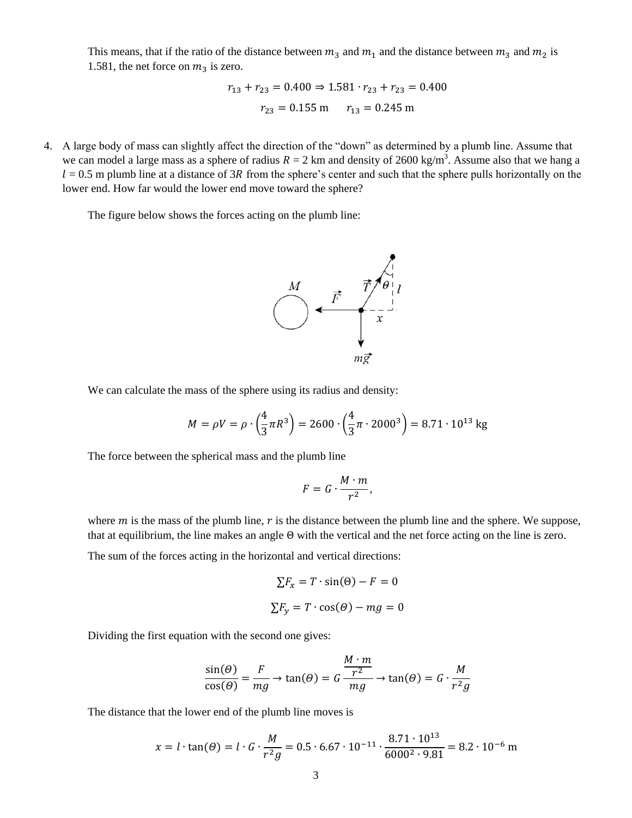This means, that if the ratio of the distance between  $m_3$  and  $m_1$  and the distance between  $m_3$  and  $m_2$  is 1.581, the net force on  $m_3$  is zero.

$$
r_{13} + r_{23} = 0.400 \Rightarrow 1.581 \cdot r_{23} + r_{23} = 0.400
$$

$$
r_{23} = 0.155 \text{ m} \qquad r_{13} = 0.245 \text{ m}
$$

4. A large body of mass can slightly affect the direction of the "down" as determined by a plumb line. Assume that we can model a large mass as a sphere of radius  $R = 2$  km and density of 2600 kg/m<sup>3</sup>. Assume also that we hang a  $l = 0.5$  m plumb line at a distance of 3R from the sphere's center and such that the sphere pulls horizontally on the lower end. How far would the lower end move toward the sphere?

The figure below shows the forces acting on the plumb line:



We can calculate the mass of the sphere using its radius and density:

$$
M = \rho V = \rho \cdot \left(\frac{4}{3}\pi R^3\right) = 2600 \cdot \left(\frac{4}{3}\pi \cdot 2000^3\right) = 8.71 \cdot 10^{13} \text{ kg}
$$

The force between the spherical mass and the plumb line

$$
F = G \cdot \frac{M \cdot m}{r^2},
$$

where  $m$  is the mass of the plumb line,  $r$  is the distance between the plumb line and the sphere. We suppose, that at equilibrium, the line makes an angle Θ with the vertical and the net force acting on the line is zero.

The sum of the forces acting in the horizontal and vertical directions:

$$
\sum F_x = T \cdot \sin(\Theta) - F = 0
$$

$$
\sum F_y = T \cdot \cos(\Theta) - mg = 0
$$

Dividing the first equation with the second one gives:

$$
\frac{\sin(\theta)}{\cos(\theta)} = \frac{F}{mg} \to \tan(\theta) = G \frac{\frac{M \cdot m}{r^2}}{mg} \to \tan(\theta) = G \cdot \frac{M}{r^2g}
$$

The distance that the lower end of the plumb line moves is

$$
x = l \cdot \tan(\theta) = l \cdot G \cdot \frac{M}{r^2 g} = 0.5 \cdot 6.67 \cdot 10^{-11} \cdot \frac{8.71 \cdot 10^{13}}{6000^2 \cdot 9.81} = 8.2 \cdot 10^{-6} \text{ m}
$$